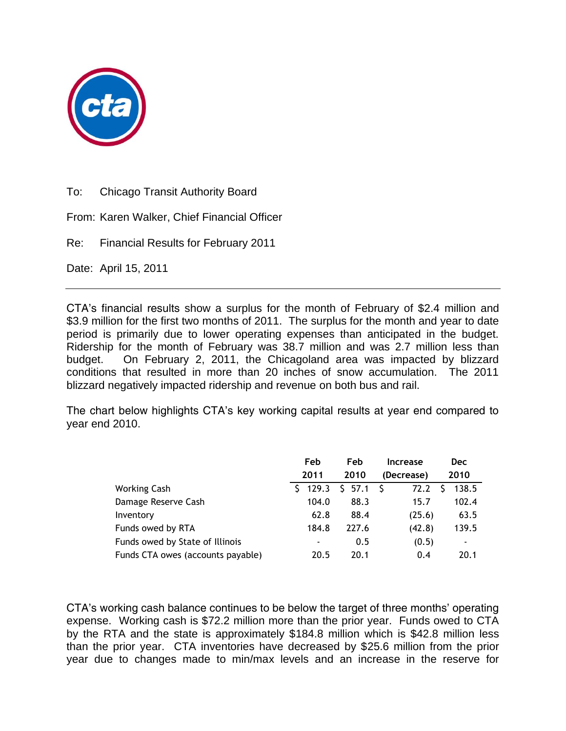

To: Chicago Transit Authority Board

From: Karen Walker, Chief Financial Officer

Re: Financial Results for February 2011

Date: April 15, 2011

CTA's financial results show a surplus for the month of February of \$2.4 million and \$3.9 million for the first two months of 2011. The surplus for the month and year to date period is primarily due to lower operating expenses than anticipated in the budget. Ridership for the month of February was 38.7 million and was 2.7 million less than budget. On February 2, 2011, the Chicagoland area was impacted by blizzard conditions that resulted in more than 20 inches of snow accumulation. The 2011 blizzard negatively impacted ridership and revenue on both bus and rail.

The chart below highlights CTA's key working capital results at year end compared to year end 2010.

|                                   | Feb         | Feb    | <b>Increase</b> | <b>Dec</b>               |
|-----------------------------------|-------------|--------|-----------------|--------------------------|
|                                   | 2011        | 2010   | (Decrease)      | 2010                     |
| <b>Working Cash</b>               | 129.3<br>S. | \$57.1 | - S<br>72.2     | 138.5<br>S               |
| Damage Reserve Cash               | 104.0       | 88.3   | 15.7            | 102.4                    |
| Inventory                         | 62.8        | 88.4   | (25.6)          | 63.5                     |
| Funds owed by RTA                 | 184.8       | 227.6  | (42.8)          | 139.5                    |
| Funds owed by State of Illinois   |             | 0.5    | (0.5)           | $\overline{\phantom{a}}$ |
| Funds CTA owes (accounts payable) | 20.5        | 20.1   | 0.4             | 20.1                     |

CTA's working cash balance continues to be below the target of three months' operating expense. Working cash is \$72.2 million more than the prior year. Funds owed to CTA by the RTA and the state is approximately \$184.8 million which is \$42.8 million less than the prior year. CTA inventories have decreased by \$25.6 million from the prior year due to changes made to min/max levels and an increase in the reserve for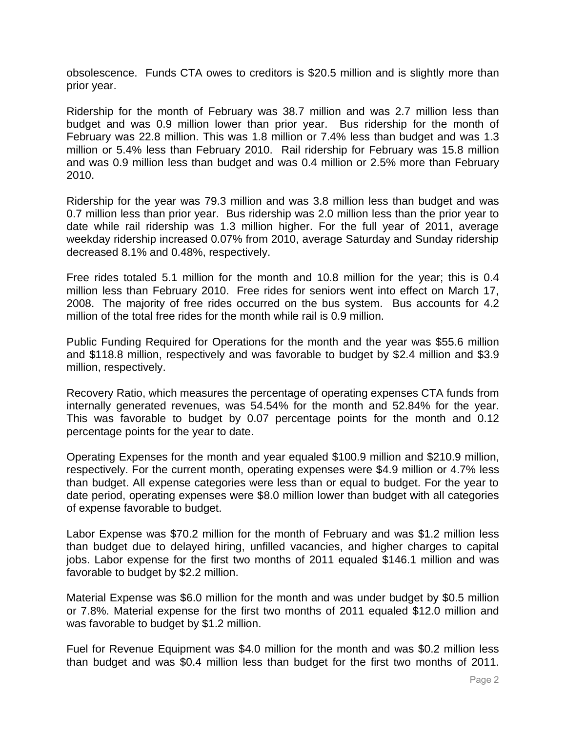obsolescence. Funds CTA owes to creditors is \$20.5 million and is slightly more than prior year.

Ridership for the month of February was 38.7 million and was 2.7 million less than budget and was 0.9 million lower than prior year. Bus ridership for the month of February was 22.8 million. This was 1.8 million or 7.4% less than budget and was 1.3 million or 5.4% less than February 2010. Rail ridership for February was 15.8 million and was 0.9 million less than budget and was 0.4 million or 2.5% more than February 2010.

Ridership for the year was 79.3 million and was 3.8 million less than budget and was 0.7 million less than prior year. Bus ridership was 2.0 million less than the prior year to date while rail ridership was 1.3 million higher. For the full year of 2011, average weekday ridership increased 0.07% from 2010, average Saturday and Sunday ridership decreased 8.1% and 0.48%, respectively.

Free rides totaled 5.1 million for the month and 10.8 million for the year; this is 0.4 million less than February 2010. Free rides for seniors went into effect on March 17, 2008. The majority of free rides occurred on the bus system. Bus accounts for 4.2 million of the total free rides for the month while rail is 0.9 million.

Public Funding Required for Operations for the month and the year was \$55.6 million and \$118.8 million, respectively and was favorable to budget by \$2.4 million and \$3.9 million, respectively.

Recovery Ratio, which measures the percentage of operating expenses CTA funds from internally generated revenues, was 54.54% for the month and 52.84% for the year. This was favorable to budget by 0.07 percentage points for the month and 0.12 percentage points for the year to date.

Operating Expenses for the month and year equaled \$100.9 million and \$210.9 million, respectively. For the current month, operating expenses were \$4.9 million or 4.7% less than budget. All expense categories were less than or equal to budget. For the year to date period, operating expenses were \$8.0 million lower than budget with all categories of expense favorable to budget.

Labor Expense was \$70.2 million for the month of February and was \$1.2 million less than budget due to delayed hiring, unfilled vacancies, and higher charges to capital jobs. Labor expense for the first two months of 2011 equaled \$146.1 million and was favorable to budget by \$2.2 million.

Material Expense was \$6.0 million for the month and was under budget by \$0.5 million or 7.8%. Material expense for the first two months of 2011 equaled \$12.0 million and was favorable to budget by \$1.2 million.

Fuel for Revenue Equipment was \$4.0 million for the month and was \$0.2 million less than budget and was \$0.4 million less than budget for the first two months of 2011.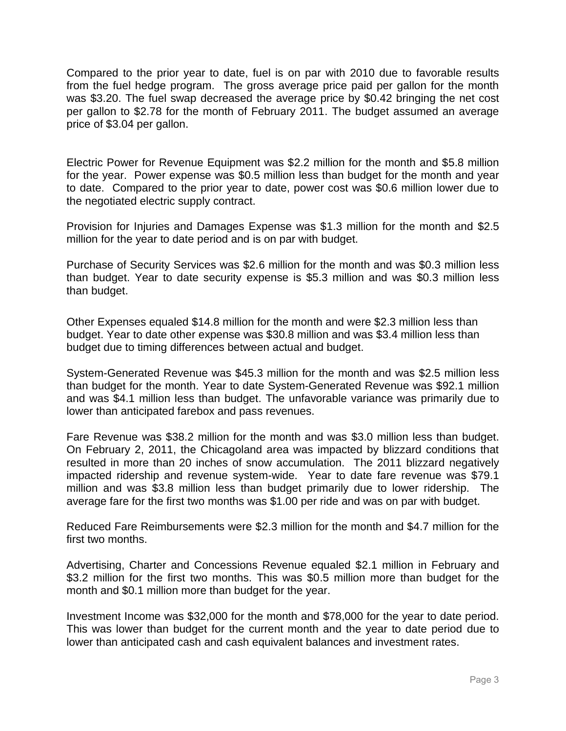Compared to the prior year to date, fuel is on par with 2010 due to favorable results from the fuel hedge program. The gross average price paid per gallon for the month was \$3.20. The fuel swap decreased the average price by \$0.42 bringing the net cost per gallon to \$2.78 for the month of February 2011. The budget assumed an average price of \$3.04 per gallon.

Electric Power for Revenue Equipment was \$2.2 million for the month and \$5.8 million for the year. Power expense was \$0.5 million less than budget for the month and year to date. Compared to the prior year to date, power cost was \$0.6 million lower due to the negotiated electric supply contract.

Provision for Injuries and Damages Expense was \$1.3 million for the month and \$2.5 million for the year to date period and is on par with budget.

Purchase of Security Services was \$2.6 million for the month and was \$0.3 million less than budget. Year to date security expense is \$5.3 million and was \$0.3 million less than budget.

Other Expenses equaled \$14.8 million for the month and were \$2.3 million less than budget. Year to date other expense was \$30.8 million and was \$3.4 million less than budget due to timing differences between actual and budget.

System-Generated Revenue was \$45.3 million for the month and was \$2.5 million less than budget for the month. Year to date System-Generated Revenue was \$92.1 million and was \$4.1 million less than budget. The unfavorable variance was primarily due to lower than anticipated farebox and pass revenues.

Fare Revenue was \$38.2 million for the month and was \$3.0 million less than budget. On February 2, 2011, the Chicagoland area was impacted by blizzard conditions that resulted in more than 20 inches of snow accumulation. The 2011 blizzard negatively impacted ridership and revenue system-wide. Year to date fare revenue was \$79.1 million and was \$3.8 million less than budget primarily due to lower ridership. The average fare for the first two months was \$1.00 per ride and was on par with budget.

Reduced Fare Reimbursements were \$2.3 million for the month and \$4.7 million for the first two months.

Advertising, Charter and Concessions Revenue equaled \$2.1 million in February and \$3.2 million for the first two months. This was \$0.5 million more than budget for the month and \$0.1 million more than budget for the year.

Investment Income was \$32,000 for the month and \$78,000 for the year to date period. This was lower than budget for the current month and the year to date period due to lower than anticipated cash and cash equivalent balances and investment rates.